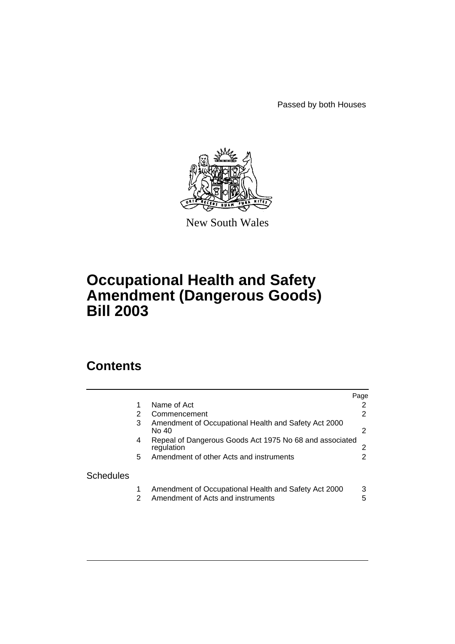Passed by both Houses



New South Wales

# **Occupational Health and Safety Amendment (Dangerous Goods) Bill 2003**

# **Contents**

|                  |    |                                                                                           | Page   |
|------------------|----|-------------------------------------------------------------------------------------------|--------|
|                  |    | Name of Act                                                                               | 2      |
|                  | 2  | Commencement                                                                              | 2      |
|                  | 3  | Amendment of Occupational Health and Safety Act 2000<br>No 40                             | 2      |
|                  | 4  | Repeal of Dangerous Goods Act 1975 No 68 and associated<br>regulation                     | 2      |
|                  | 5. | Amendment of other Acts and instruments                                                   | 2      |
| <b>Schedules</b> |    |                                                                                           |        |
|                  | 2  | Amendment of Occupational Health and Safety Act 2000<br>Amendment of Acts and instruments | 3<br>5 |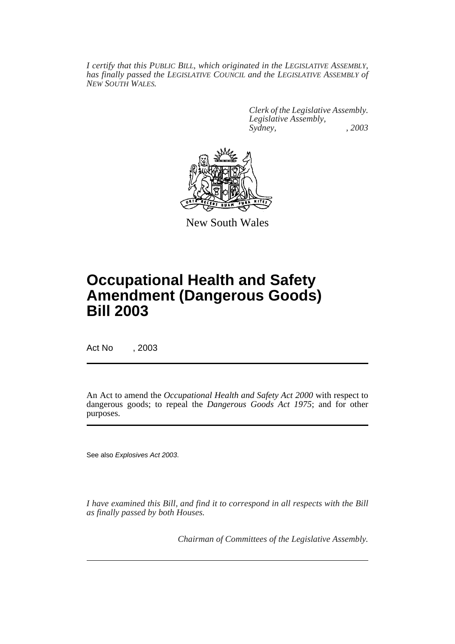*I certify that this PUBLIC BILL, which originated in the LEGISLATIVE ASSEMBLY, has finally passed the LEGISLATIVE COUNCIL and the LEGISLATIVE ASSEMBLY of NEW SOUTH WALES.*

> *Clerk of the Legislative Assembly. Legislative Assembly, Sydney, , 2003*



New South Wales

# **Occupational Health and Safety Amendment (Dangerous Goods) Bill 2003**

Act No , 2003

An Act to amend the *Occupational Health and Safety Act 2000* with respect to dangerous goods; to repeal the *Dangerous Goods Act 1975*; and for other purposes.

See also Explosives Act 2003.

*I have examined this Bill, and find it to correspond in all respects with the Bill as finally passed by both Houses.*

*Chairman of Committees of the Legislative Assembly.*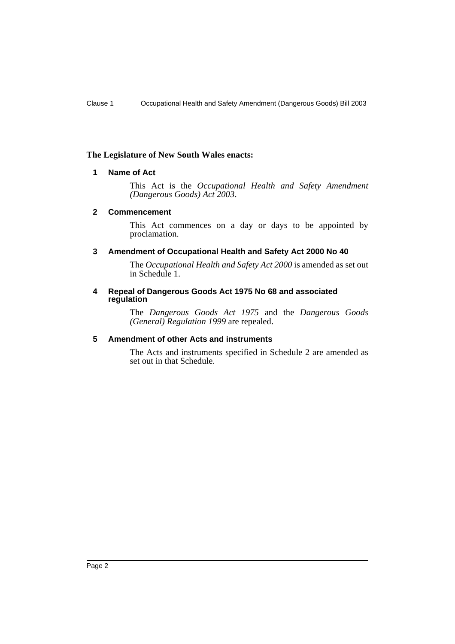### <span id="page-2-0"></span>**The Legislature of New South Wales enacts:**

### **1 Name of Act**

This Act is the *Occupational Health and Safety Amendment (Dangerous Goods) Act 2003*.

### <span id="page-2-1"></span>**2 Commencement**

This Act commences on a day or days to be appointed by proclamation.

### <span id="page-2-2"></span>**3 Amendment of Occupational Health and Safety Act 2000 No 40**

The *Occupational Health and Safety Act 2000* is amended as set out in Schedule 1.

#### <span id="page-2-3"></span>**4 Repeal of Dangerous Goods Act 1975 No 68 and associated regulation**

The *Dangerous Goods Act 1975* and the *Dangerous Goods (General) Regulation 1999* are repealed.

### <span id="page-2-4"></span>**5 Amendment of other Acts and instruments**

The Acts and instruments specified in Schedule 2 are amended as set out in that Schedule.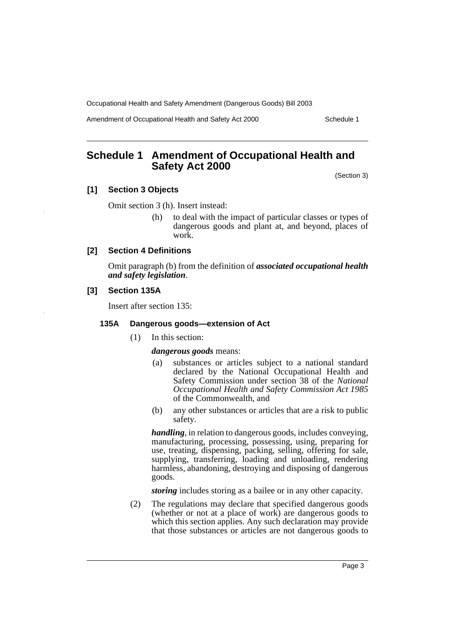Amendment of Occupational Health and Safety Act 2000 Schedule 1

# <span id="page-3-0"></span>**Schedule 1 Amendment of Occupational Health and Safety Act 2000**

(Section 3)

# **[1] Section 3 Objects**

Omit section 3 (h). Insert instead:

(h) to deal with the impact of particular classes or types of dangerous goods and plant at, and beyond, places of work.

# **[2] Section 4 Definitions**

Omit paragraph (b) from the definition of *associated occupational health and safety legislation*.

### **[3] Section 135A**

Insert after section 135:

### **135A Dangerous goods—extension of Act**

(1) In this section:

### *dangerous goods* means:

- (a) substances or articles subject to a national standard declared by the National Occupational Health and Safety Commission under section 38 of the *National Occupational Health and Safety Commission Act 1985* of the Commonwealth, and
- (b) any other substances or articles that are a risk to public safety.

*handling*, in relation to dangerous goods, includes conveying, manufacturing, processing, possessing, using, preparing for use, treating, dispensing, packing, selling, offering for sale, supplying, transferring, loading and unloading, rendering harmless, abandoning, destroying and disposing of dangerous goods.

*storing* includes storing as a bailee or in any other capacity.

(2) The regulations may declare that specified dangerous goods (whether or not at a place of work) are dangerous goods to which this section applies. Any such declaration may provide that those substances or articles are not dangerous goods to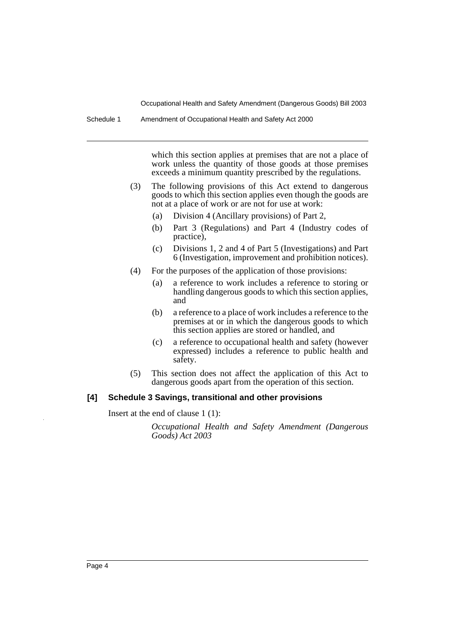Schedule 1 Amendment of Occupational Health and Safety Act 2000

which this section applies at premises that are not a place of work unless the quantity of those goods at those premises exceeds a minimum quantity prescribed by the regulations.

- (3) The following provisions of this Act extend to dangerous goods to which this section applies even though the goods are not at a place of work or are not for use at work:
	- (a) Division 4 (Ancillary provisions) of Part 2,
	- (b) Part 3 (Regulations) and Part 4 (Industry codes of practice),
	- (c) Divisions 1, 2 and 4 of Part 5 (Investigations) and Part 6 (Investigation, improvement and prohibition notices).
- (4) For the purposes of the application of those provisions:
	- (a) a reference to work includes a reference to storing or handling dangerous goods to which this section applies, and
	- (b) a reference to a place of work includes a reference to the premises at or in which the dangerous goods to which this section applies are stored or handled, and
	- (c) a reference to occupational health and safety (however expressed) includes a reference to public health and safety.
- (5) This section does not affect the application of this Act to dangerous goods apart from the operation of this section.

#### **[4] Schedule 3 Savings, transitional and other provisions**

Insert at the end of clause 1 (1):

*Occupational Health and Safety Amendment (Dangerous Goods) Act 2003*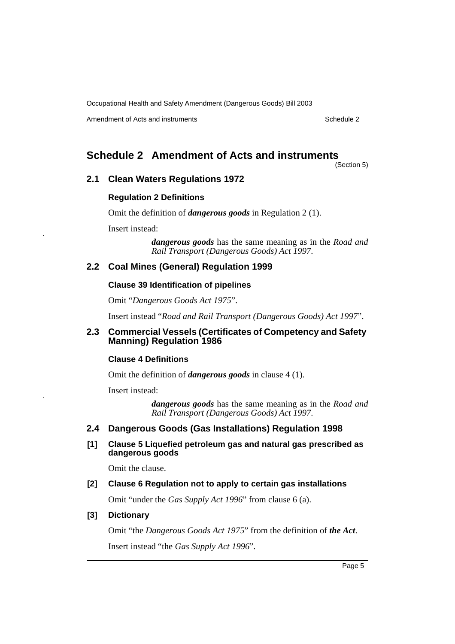Amendment of Acts and instruments Schedule 2

# <span id="page-5-0"></span>**Schedule 2 Amendment of Acts and instruments**

(Section 5)

# **2.1 Clean Waters Regulations 1972**

### **Regulation 2 Definitions**

Omit the definition of *dangerous goods* in Regulation 2 (1).

Insert instead:

*dangerous goods* has the same meaning as in the *Road and Rail Transport (Dangerous Goods) Act 1997*.

# **2.2 Coal Mines (General) Regulation 1999**

### **Clause 39 Identification of pipelines**

Omit "*Dangerous Goods Act 1975*".

Insert instead "*Road and Rail Transport (Dangerous Goods) Act 1997*".

# **2.3 Commercial Vessels (Certificates of Competency and Safety Manning) Regulation 1986**

### **Clause 4 Definitions**

Omit the definition of *dangerous goods* in clause 4 (1).

Insert instead:

*dangerous goods* has the same meaning as in the *Road and Rail Transport (Dangerous Goods) Act 1997*.

# **2.4 Dangerous Goods (Gas Installations) Regulation 1998**

**[1] Clause 5 Liquefied petroleum gas and natural gas prescribed as dangerous goods**

Omit the clause.

### **[2] Clause 6 Regulation not to apply to certain gas installations**

Omit "under the *Gas Supply Act 1996*" from clause 6 (a).

### **[3] Dictionary**

Omit "the *Dangerous Goods Act 1975*" from the definition of *the Act*. Insert instead "the *Gas Supply Act 1996*".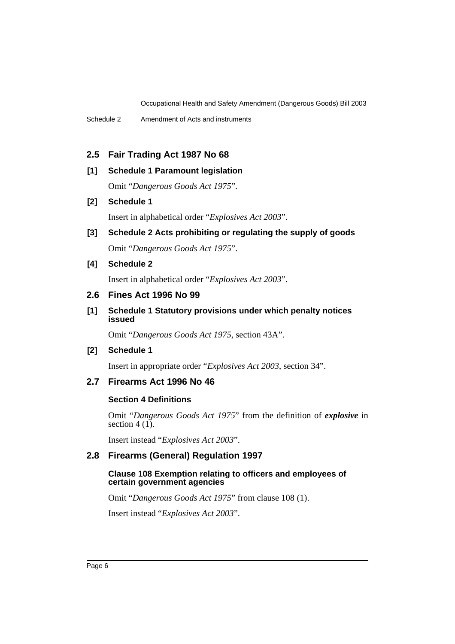Schedule 2 Amendment of Acts and instruments

# **2.5 Fair Trading Act 1987 No 68**

### **[1] Schedule 1 Paramount legislation**

Omit "*Dangerous Goods Act 1975*".

# **[2] Schedule 1**

Insert in alphabetical order "*Explosives Act 2003*".

**[3] Schedule 2 Acts prohibiting or regulating the supply of goods** Omit "*Dangerous Goods Act 1975*".

# **[4] Schedule 2**

Insert in alphabetical order "*Explosives Act 2003*".

# **2.6 Fines Act 1996 No 99**

# **[1] Schedule 1 Statutory provisions under which penalty notices issued**

Omit "*Dangerous Goods Act 1975*, section 43A".

### **[2] Schedule 1**

Insert in appropriate order "*Explosives Act 2003*, section 34".

# **2.7 Firearms Act 1996 No 46**

### **Section 4 Definitions**

Omit "*Dangerous Goods Act 1975*" from the definition of *explosive* in section  $4(1)$ .

Insert instead "*Explosives Act 2003*".

### **2.8 Firearms (General) Regulation 1997**

### **Clause 108 Exemption relating to officers and employees of certain government agencies**

Omit "*Dangerous Goods Act 1975*" from clause 108 (1).

Insert instead "*Explosives Act 2003*".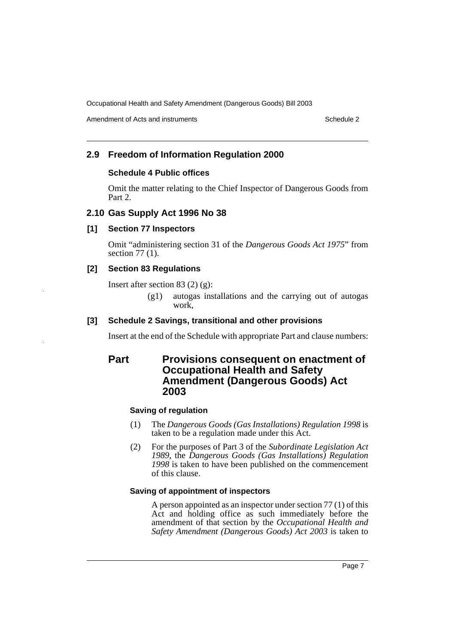Amendment of Acts and instruments Schedule 2

# **2.9 Freedom of Information Regulation 2000**

# **Schedule 4 Public offices**

Omit the matter relating to the Chief Inspector of Dangerous Goods from Part 2.

# **2.10 Gas Supply Act 1996 No 38**

# **[1] Section 77 Inspectors**

Omit "administering section 31 of the *Dangerous Goods Act 1975*" from section 77 (1).

# **[2] Section 83 Regulations**

Insert after section 83 (2) (g):

(g1) autogas installations and the carrying out of autogas work.

# **[3] Schedule 2 Savings, transitional and other provisions**

Insert at the end of the Schedule with appropriate Part and clause numbers:

# **Part Provisions consequent on enactment of Occupational Health and Safety Amendment (Dangerous Goods) Act 2003**

# **Saving of regulation**

- (1) The *Dangerous Goods (Gas Installations) Regulation 1998* is taken to be a regulation made under this Act.
- (2) For the purposes of Part 3 of the *Subordinate Legislation Act 1989*, the *Dangerous Goods (Gas Installations) Regulation 1998* is taken to have been published on the commencement of this clause.

# **Saving of appointment of inspectors**

A person appointed as an inspector under section 77 (1) of this Act and holding office as such immediately before the amendment of that section by the *Occupational Health and Safety Amendment (Dangerous Goods) Act 2003* is taken to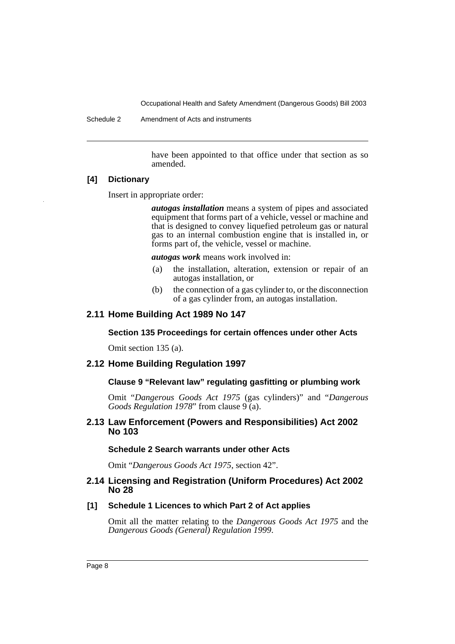Schedule 2 Amendment of Acts and instruments

have been appointed to that office under that section as so amended.

### **[4] Dictionary**

Insert in appropriate order:

*autogas installation* means a system of pipes and associated equipment that forms part of a vehicle, vessel or machine and that is designed to convey liquefied petroleum gas or natural gas to an internal combustion engine that is installed in, or forms part of, the vehicle, vessel or machine.

*autogas work* means work involved in:

- (a) the installation, alteration, extension or repair of an autogas installation, or
- (b) the connection of a gas cylinder to, or the disconnection of a gas cylinder from, an autogas installation.

# **2.11 Home Building Act 1989 No 147**

# **Section 135 Proceedings for certain offences under other Acts**

Omit section 135 (a).

# **2.12 Home Building Regulation 1997**

# **Clause 9 "Relevant law" regulating gasfitting or plumbing work**

Omit "*Dangerous Goods Act 1975* (gas cylinders)" and "*Dangerous Goods Regulation 1978*" from clause 9 (a).

# **2.13 Law Enforcement (Powers and Responsibilities) Act 2002 No 103**

### **Schedule 2 Search warrants under other Acts**

Omit "*Dangerous Goods Act 1975*, section 42".

# **2.14 Licensing and Registration (Uniform Procedures) Act 2002 No 28**

### **[1] Schedule 1 Licences to which Part 2 of Act applies**

Omit all the matter relating to the *Dangerous Goods Act 1975* and the *Dangerous Goods (General) Regulation 1999*.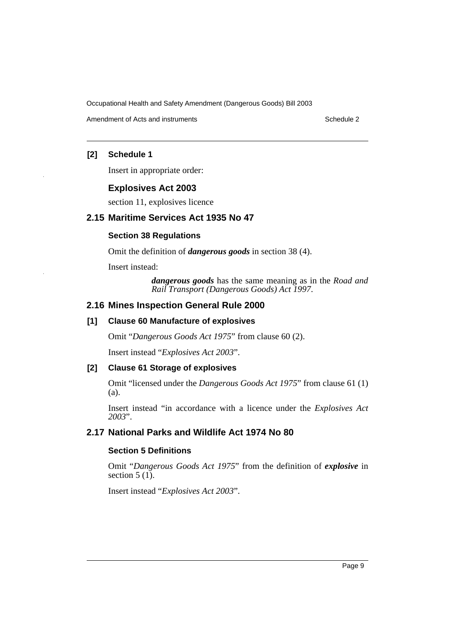Amendment of Acts and instruments Schedule 2

# **[2] Schedule 1**

Insert in appropriate order:

# **Explosives Act 2003**

section 11, explosives licence

# **2.15 Maritime Services Act 1935 No 47**

# **Section 38 Regulations**

Omit the definition of *dangerous goods* in section 38 (4).

Insert instead:

*dangerous goods* has the same meaning as in the *Road and Rail Transport (Dangerous Goods) Act 1997*.

# **2.16 Mines Inspection General Rule 2000**

### **[1] Clause 60 Manufacture of explosives**

Omit "*Dangerous Goods Act 1975*" from clause 60 (2).

Insert instead "*Explosives Act 2003*".

### **[2] Clause 61 Storage of explosives**

Omit "licensed under the *Dangerous Goods Act 1975*" from clause 61 (1) (a).

Insert instead "in accordance with a licence under the *Explosives Act 2003*".

# **2.17 National Parks and Wildlife Act 1974 No 80**

# **Section 5 Definitions**

Omit "*Dangerous Goods Act 1975*" from the definition of *explosive* in section  $5(1)$ .

Insert instead "*Explosives Act 2003*".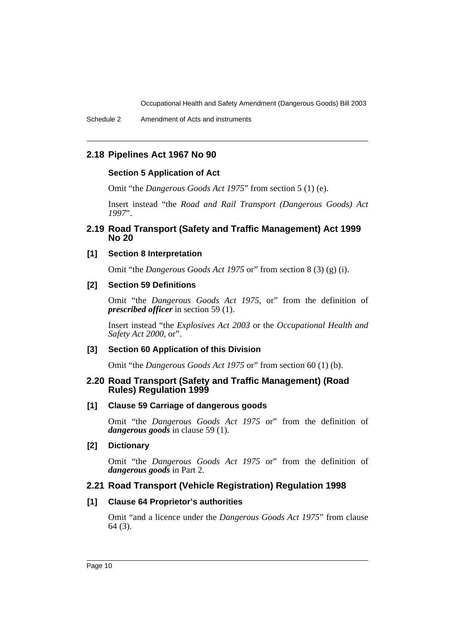# **2.18 Pipelines Act 1967 No 90**

### **Section 5 Application of Act**

Omit "the *Dangerous Goods Act 1975*" from section 5 (1) (e).

Insert instead "the *Road and Rail Transport (Dangerous Goods) Act 1997*".

# **2.19 Road Transport (Safety and Traffic Management) Act 1999 No 20**

# **[1] Section 8 Interpretation**

Omit "the *Dangerous Goods Act 1975* or" from section 8 (3) (g) (i).

### **[2] Section 59 Definitions**

Omit "the *Dangerous Goods Act 1975*, or" from the definition of *prescribed officer* in section 59 (1).

Insert instead "the *Explosives Act 2003* or the *Occupational Health and Safety Act 2000*, or".

### **[3] Section 60 Application of this Division**

Omit "the *Dangerous Goods Act 1975* or" from section 60 (1) (b).

### **2.20 Road Transport (Safety and Traffic Management) (Road Rules) Regulation 1999**

# **[1] Clause 59 Carriage of dangerous goods**

Omit "the *Dangerous Goods Act 1975* or" from the definition of *dangerous goods* in clause 59 (1).

### **[2] Dictionary**

Omit "the *Dangerous Goods Act 1975* or" from the definition of *dangerous goods* in Part 2.

# **2.21 Road Transport (Vehicle Registration) Regulation 1998**

### **[1] Clause 64 Proprietor's authorities**

Omit "and a licence under the *Dangerous Goods Act 1975*" from clause 64 (3).